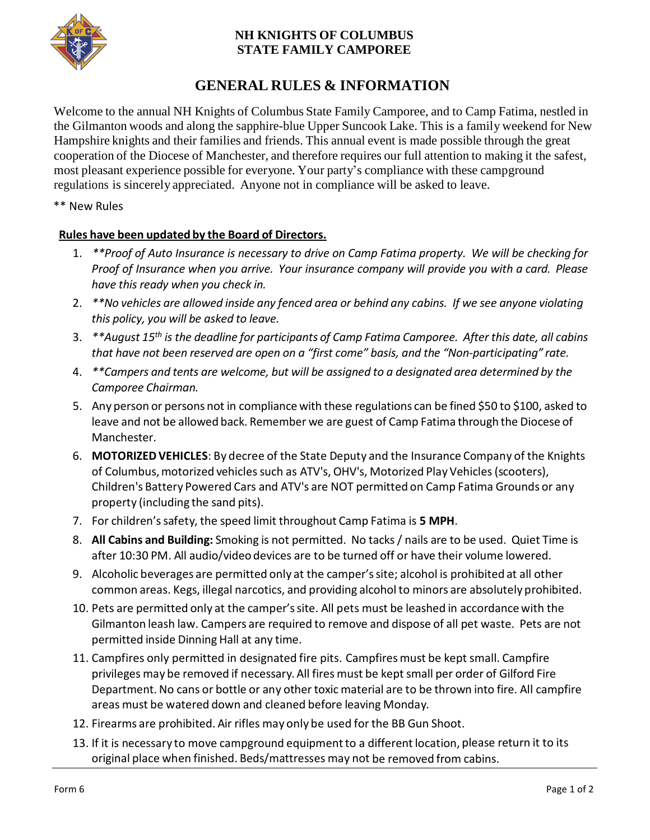

### **NH KNIGHTS OF COLUMBUS STATE FAMILY CAMPOREE**

# **GENERAL RULES & INFORMATION**

Welcome to the annual NH Knights of Columbus State Family Camporee, and to Camp Fatima, nestled in the Gilmanton woods and along the sapphire-blue Upper Suncook Lake. This is a family weekend for New Hampshire knights and their families and friends. This annual event is made possible through the great cooperation of the Diocese of Manchester, and therefore requires our full attention to making it the safest, most pleasant experience possible for everyone. Your party's compliance with these campground regulations is sincerely appreciated. Anyone not in compliance will be asked to leave.

#### \*\* New Rules

#### **Rules have been updated by the Board of Directors.**

- 1. *\*\*Proof of Auto Insurance is necessary to drive on Camp Fatima property. We will be checking for Proof of Insurance when you arrive. Your insurance company will provide you with a card. Please have this ready when you check in.*
- 2. *\*\*No vehicles are allowed inside any fenced area or behind any cabins. If we see anyone violating this policy, you will be asked to leave.*
- 3. *\*\*August 15th is the deadline for participants of Camp Fatima Camporee. After this date, all cabins*  that have not been reserved are open on a "first come" basis, and the "Non-participating" rate.
- 4. *\*\*Campers and tents are welcome, but will be assigned to a designated area determined by the Camporee Chairman.*
- 5. Any person or persons not in compliance with these regulations can be fined \$50 to \$100, asked to leave and not be allowed back. Remember we are guest of Camp Fatima through the Diocese of Manchester.
- 6. **MOTORIZED VEHICLES**: By decree of the State Deputy and the Insurance Company of the Knights of Columbus, motorized vehicles such as ATV's, OHV's, Motorized Play Vehicles (scooters), Children's Battery Powered Cars and ATV's are NOT permitted on Camp Fatima Grounds or any property (including the sand pits).
- 7. For children'ssafety, the speed limit throughout Camp Fatima is **5 MPH**.
- 8. **All Cabins and Building:** Smoking is not permitted. No tacks/ nails are to be used. Quiet Time is after 10:30 PM. All audio/video devices are to be turned off or have their volume lowered.
- 9. Alcoholic beverages are permitted only at the camper'ssite; alcohol is prohibited at all other common areas. Kegs, illegal narcotics, and providing alcohol to minors are absolutely prohibited.
- 10. Pets are permitted only at the camper'ssite. All pets must be leashed in accordancewith the Gilmanton leash law. Campers are required to remove and dispose of all pet waste. Pets are not permitted inside Dinning Hall at any time.
- 11. Campfires only permitted in designated fire pits. Campfires must be kept small. Campfire privileges may be removed if necessary. All fires must be kept small per order of Gilford Fire Department. No cans or bottle or any othertoxic material are to be thrown into fire. All campfire areas must be watered down and cleaned before leaving Monday.
- 12. Firearms are prohibited. Air rifles may only be used for the BB Gun Shoot.
- 13. If it is necessary to move campground equipment to a different location, please return it to its original place when finished. Beds/mattresses may not be removed from cabins.